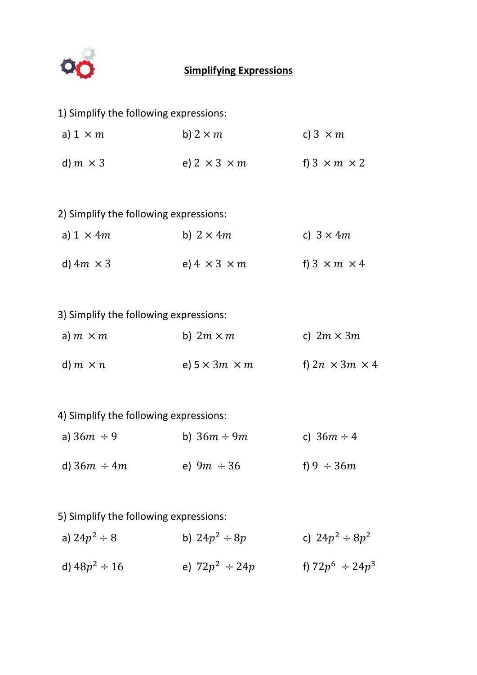

## **Simplifying Expressions**

| 1) Simplify the following expressions: |                           |                            |  |  |
|----------------------------------------|---------------------------|----------------------------|--|--|
| a) $1 \times m$                        | b) $2 \times m$           | c) $3 \times m$            |  |  |
| d) $m \times 3$                        | e) $2 \times 3 \times m$  | f) $3 \times m \times 2$   |  |  |
|                                        |                           |                            |  |  |
| 2) Simplify the following expressions: |                           |                            |  |  |
| a) $1 \times 4m$                       | b) $2 \times 4m$          | c) $3 \times 4m$           |  |  |
| d) $4m \times 3$                       | e) $4 \times 3 \times m$  | f) $3 \times m \times 4$   |  |  |
|                                        |                           |                            |  |  |
| 3) Simplify the following expressions: |                           |                            |  |  |
| a) $m \times m$                        | b) $2m \times m$          | c) $2m \times 3m$          |  |  |
| d) $m \times n$                        | e) $5 \times 3m \times m$ | f) $2n \times 3m \times 4$ |  |  |
|                                        |                           |                            |  |  |
| 4) Simplify the following expressions: |                           |                            |  |  |
| a) $36m \div 9$                        | b) $36m \div 9m$          | c) $36m \div 4$            |  |  |
| d) $36m \div 4m$                       | e) $9m \div 36$           | f) $9 \div 36m$            |  |  |
|                                        |                           |                            |  |  |
| 5) Simplify the following expressions: |                           |                            |  |  |

| a) $24p^2 \div 8$  | b) $24p^2 \div 8p$  | c) $24p^2 \div 8p^2$  |
|--------------------|---------------------|-----------------------|
| d) $48p^2 \div 16$ | e) $72p^2 \div 24p$ | f) $72p^6 \div 24p^3$ |